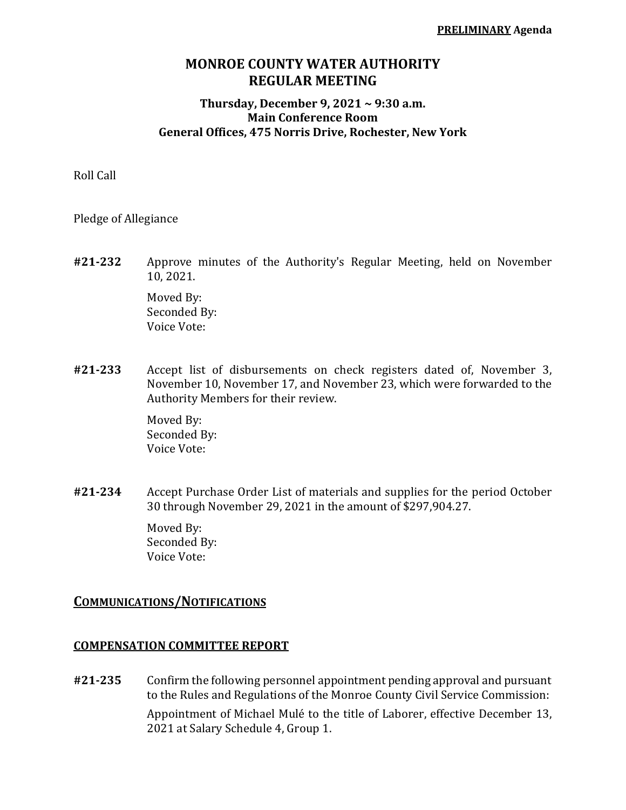# **MONROE COUNTY WATER AUTHORITY REGULAR MEETING**

### **Thursday, December 9, 2021 ~ 9:30 a.m. Main Conference Room General Offices, 475 Norris Drive, Rochester, New York**

Roll Call

Pledge of Allegiance

**#21-232** Approve minutes of the Authority's Regular Meeting, held on November 10, 2021.

> Moved By: Seconded By: Voice Vote:

**#21-233** Accept list of disbursements on check registers dated of, November 3, November 10, November 17, and November 23, which were forwarded to the Authority Members for their review.

> Moved By: Seconded By: Voice Vote:

**#21-234** Accept Purchase Order List of materials and supplies for the period October 30 through November 29, 2021 in the amount of \$297,904.27.

> Moved By: Seconded By: Voice Vote:

### **COMMUNICATIONS/NOTIFICATIONS**

### **COMPENSATION COMMITTEE REPORT**

**#21-235** Confirm the following personnel appointment pending approval and pursuant to the Rules and Regulations of the Monroe County Civil Service Commission: Appointment of Michael Mulé to the title of Laborer, effective December 13, 2021 at Salary Schedule 4, Group 1.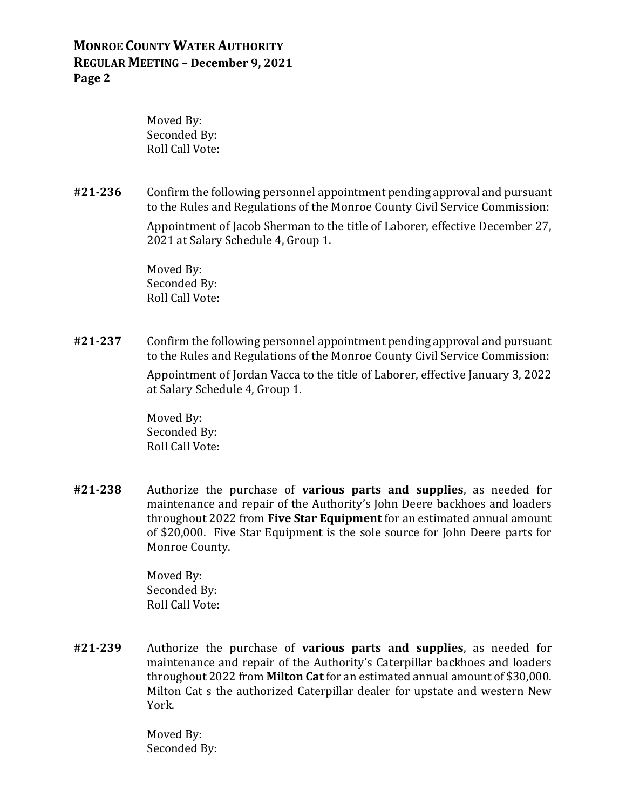Moved By: Seconded By: Roll Call Vote:

**#21-236** Confirm the following personnel appointment pending approval and pursuant to the Rules and Regulations of the Monroe County Civil Service Commission:

> Appointment of Jacob Sherman to the title of Laborer, effective December 27, 2021 at Salary Schedule 4, Group 1.

Moved By: Seconded By: Roll Call Vote:

**#21-237** Confirm the following personnel appointment pending approval and pursuant to the Rules and Regulations of the Monroe County Civil Service Commission:

> Appointment of Jordan Vacca to the title of Laborer, effective January 3, 2022 at Salary Schedule 4, Group 1.

Moved By: Seconded By: Roll Call Vote:

**#21-238** Authorize the purchase of **various parts and supplies**, as needed for maintenance and repair of the Authority's John Deere backhoes and loaders throughout 2022 from **Five Star Equipment** for an estimated annual amount of \$20,000. Five Star Equipment is the sole source for John Deere parts for Monroe County.

> Moved By: Seconded By: Roll Call Vote:

**#21-239** Authorize the purchase of **various parts and supplies**, as needed for maintenance and repair of the Authority's Caterpillar backhoes and loaders throughout 2022 from **Milton Cat** for an estimated annual amount of \$30,000. Milton Cat s the authorized Caterpillar dealer for upstate and western New York.

> Moved By: Seconded By: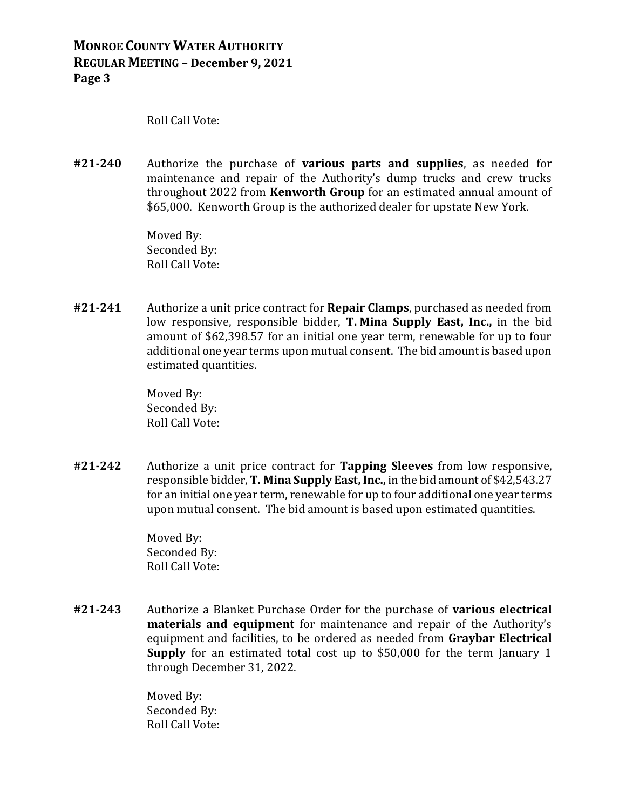Roll Call Vote:

**#21-240** Authorize the purchase of **various parts and supplies**, as needed for maintenance and repair of the Authority's dump trucks and crew trucks throughout 2022 from **Kenworth Group** for an estimated annual amount of \$65,000. Kenworth Group is the authorized dealer for upstate New York.

> Moved By: Seconded By: Roll Call Vote:

**#21-241** Authorize a unit price contract for **Repair Clamps**, purchased as needed from low responsive, responsible bidder, **T. Mina Supply East, Inc.,** in the bid amount of \$62,398.57 for an initial one year term, renewable for up to four additional one year terms upon mutual consent. The bid amount is based upon estimated quantities.

> Moved By: Seconded By: Roll Call Vote:

**#21-242** Authorize a unit price contract for **Tapping Sleeves** from low responsive, responsible bidder, **T. Mina Supply East, Inc.,** in the bid amount of \$42,543.27 for an initial one year term, renewable for up to four additional one year terms upon mutual consent. The bid amount is based upon estimated quantities.

> Moved By: Seconded By: Roll Call Vote:

**#21-243** Authorize a Blanket Purchase Order for the purchase of **various electrical materials and equipment** for maintenance and repair of the Authority's equipment and facilities, to be ordered as needed from **Graybar Electrical Supply** for an estimated total cost up to \$50,000 for the term January 1 through December 31, 2022.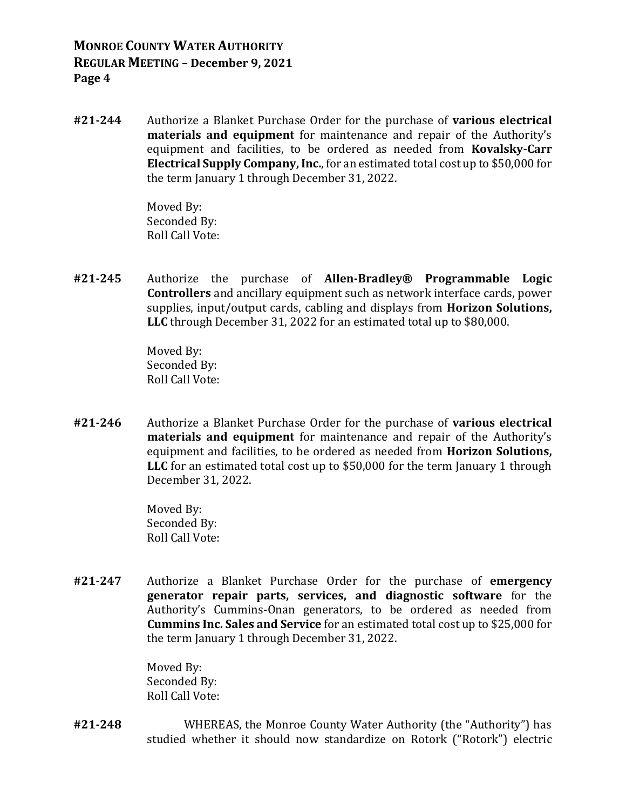**#21-244** Authorize a Blanket Purchase Order for the purchase of **various electrical materials and equipment** for maintenance and repair of the Authority's equipment and facilities, to be ordered as needed from **Kovalsky-Carr Electrical Supply Company, Inc.**, for an estimated total cost up to \$50,000 for the term January 1 through December 31, 2022.

> Moved By: Seconded By: Roll Call Vote:

**#21-245** Authorize the purchase of **Allen-Bradley® Programmable Logic Controllers** and ancillary equipment such as network interface cards, power supplies, input/output cards, cabling and displays from **Horizon Solutions, LLC** through December 31, 2022 for an estimated total up to \$80,000.

> Moved By: Seconded By: Roll Call Vote:

**#21-246** Authorize a Blanket Purchase Order for the purchase of **various electrical materials and equipment** for maintenance and repair of the Authority's equipment and facilities, to be ordered as needed from **Horizon Solutions, LLC** for an estimated total cost up to \$50,000 for the term January 1 through December 31, 2022.

> Moved By: Seconded By: Roll Call Vote:

**#21-247** Authorize a Blanket Purchase Order for the purchase of **emergency generator repair parts, services, and diagnostic software** for the Authority's Cummins-Onan generators, to be ordered as needed from **Cummins Inc. Sales and Service** for an estimated total cost up to \$25,000 for the term January 1 through December 31, 2022.

> Moved By: Seconded By: Roll Call Vote:

**#21-248** WHEREAS, the Monroe County Water Authority (the "Authority") has studied whether it should now standardize on Rotork ("Rotork") electric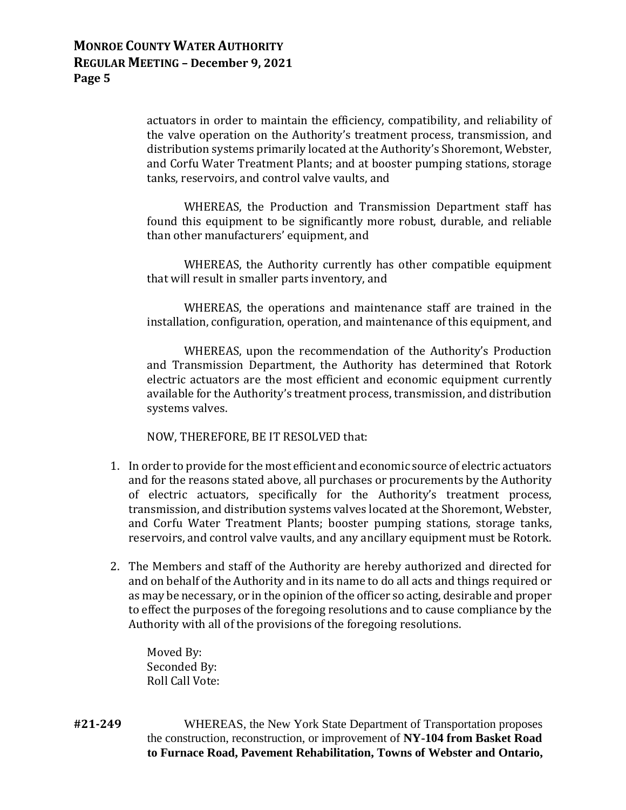actuators in order to maintain the efficiency, compatibility, and reliability of the valve operation on the Authority's treatment process, transmission, and distribution systems primarily located at the Authority's Shoremont, Webster, and Corfu Water Treatment Plants; and at booster pumping stations, storage tanks, reservoirs, and control valve vaults, and

WHEREAS, the Production and Transmission Department staff has found this equipment to be significantly more robust, durable, and reliable than other manufacturers' equipment, and

WHEREAS, the Authority currently has other compatible equipment that will result in smaller parts inventory, and

WHEREAS, the operations and maintenance staff are trained in the installation, configuration, operation, and maintenance of this equipment, and

WHEREAS, upon the recommendation of the Authority's Production and Transmission Department, the Authority has determined that Rotork electric actuators are the most efficient and economic equipment currently available for the Authority's treatment process, transmission, and distribution systems valves.

NOW, THEREFORE, BE IT RESOLVED that:

- 1. In order to provide for the most efficient and economic source of electric actuators and for the reasons stated above, all purchases or procurements by the Authority of electric actuators, specifically for the Authority's treatment process, transmission, and distribution systems valves located at the Shoremont, Webster, and Corfu Water Treatment Plants; booster pumping stations, storage tanks, reservoirs, and control valve vaults, and any ancillary equipment must be Rotork.
- 2. The Members and staff of the Authority are hereby authorized and directed for and on behalf of the Authority and in its name to do all acts and things required or as may be necessary, or in the opinion of the officer so acting, desirable and proper to effect the purposes of the foregoing resolutions and to cause compliance by the Authority with all of the provisions of the foregoing resolutions.

Moved By: Seconded By: Roll Call Vote:

**#21-249** WHEREAS, the New York State Department of Transportation proposes the construction, reconstruction, or improvement of **NY-104 from Basket Road to Furnace Road, Pavement Rehabilitation, Towns of Webster and Ontario,**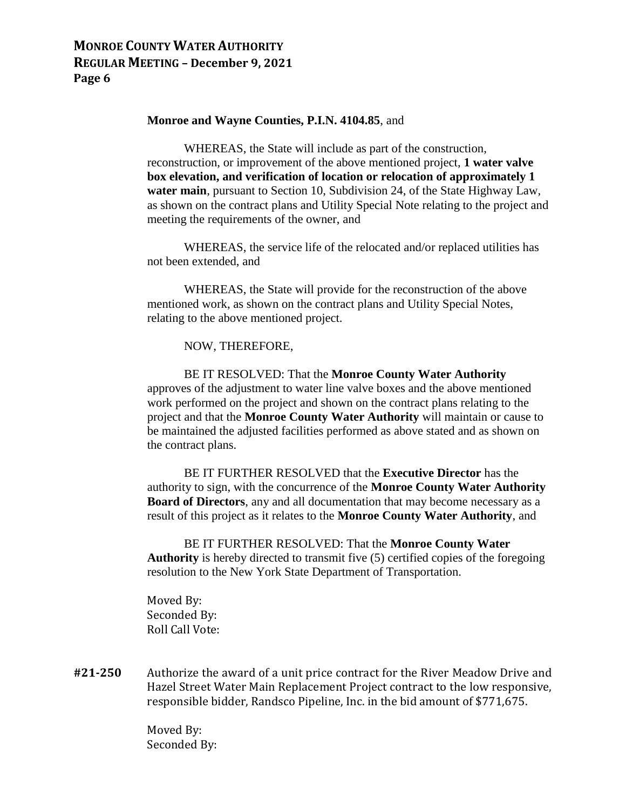#### **Monroe and Wayne Counties, P.I.N. 4104.85**, and

WHEREAS, the State will include as part of the construction, reconstruction, or improvement of the above mentioned project, **1 water valve box elevation, and verification of location or relocation of approximately 1 water main**, pursuant to Section 10, Subdivision 24, of the State Highway Law, as shown on the contract plans and Utility Special Note relating to the project and meeting the requirements of the owner, and

WHEREAS, the service life of the relocated and/or replaced utilities has not been extended, and

WHEREAS, the State will provide for the reconstruction of the above mentioned work, as shown on the contract plans and Utility Special Notes, relating to the above mentioned project.

NOW, THEREFORE,

BE IT RESOLVED: That the **Monroe County Water Authority**  approves of the adjustment to water line valve boxes and the above mentioned work performed on the project and shown on the contract plans relating to the project and that the **Monroe County Water Authority** will maintain or cause to be maintained the adjusted facilities performed as above stated and as shown on the contract plans.

BE IT FURTHER RESOLVED that the **Executive Director** has the authority to sign, with the concurrence of the **Monroe County Water Authority Board of Directors**, any and all documentation that may become necessary as a result of this project as it relates to the **Monroe County Water Authority**, and

BE IT FURTHER RESOLVED: That the **Monroe County Water Authority** is hereby directed to transmit five (5) certified copies of the foregoing resolution to the New York State Department of Transportation.

Moved By: Seconded By: Roll Call Vote:

**#21-250** Authorize the award of a unit price contract for the River Meadow Drive and Hazel Street Water Main Replacement Project contract to the low responsive, responsible bidder, Randsco Pipeline, Inc. in the bid amount of \$771,675.

> Moved By: Seconded By: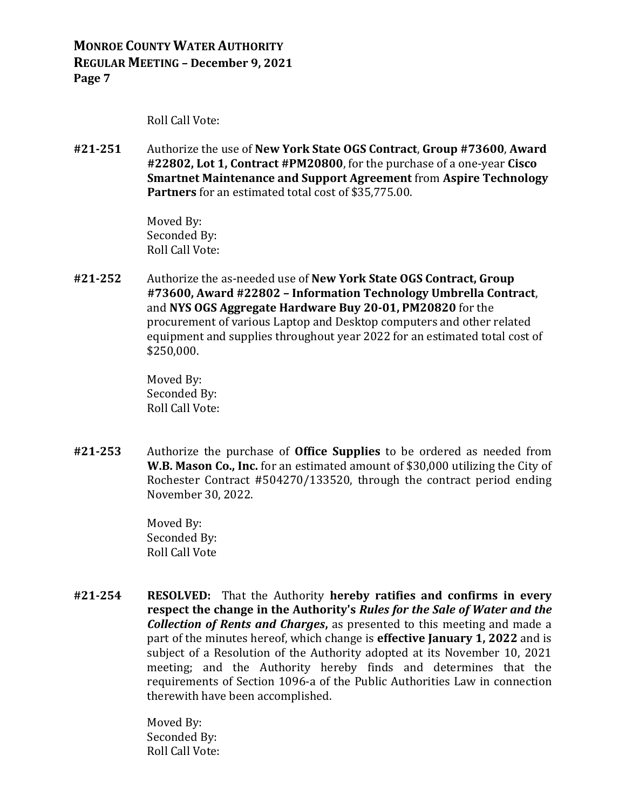Roll Call Vote:

**#21-251** Authorize the use of **New York State OGS Contract**, **Group #73600**, **Award #22802, Lot 1, Contract #PM20800**, for the purchase of a one-year **Cisco Smartnet Maintenance and Support Agreement** from **Aspire Technology Partners** for an estimated total cost of \$35,775.00.

> Moved By: Seconded By: Roll Call Vote:

**#21-252** Authorize the as-needed use of **New York State OGS Contract, Group #73600, Award #22802 – Information Technology Umbrella Contract**, and **NYS OGS Aggregate Hardware Buy 20-01, PM20820** for the procurement of various Laptop and Desktop computers and other related equipment and supplies throughout year 2022 for an estimated total cost of \$250,000.

> Moved By: Seconded By: Roll Call Vote:

**#21-253** Authorize the purchase of **Office Supplies** to be ordered as needed from **W.B. Mason Co., Inc.** for an estimated amount of \$30,000 utilizing the City of Rochester Contract #504270/133520, through the contract period ending November 30, 2022.

> Moved By: Seconded By: Roll Call Vote

**#21-254 RESOLVED:** That the Authority **hereby ratifies and confirms in every respect the change in the Authority's** *Rules for the Sale of Water and the Collection of Rents and Charges***,** as presented to this meeting and made a part of the minutes hereof, which change is **effective January 1, 2022** and is subject of a Resolution of the Authority adopted at its November 10, 2021 meeting; and the Authority hereby finds and determines that the requirements of Section 1096-a of the Public Authorities Law in connection therewith have been accomplished.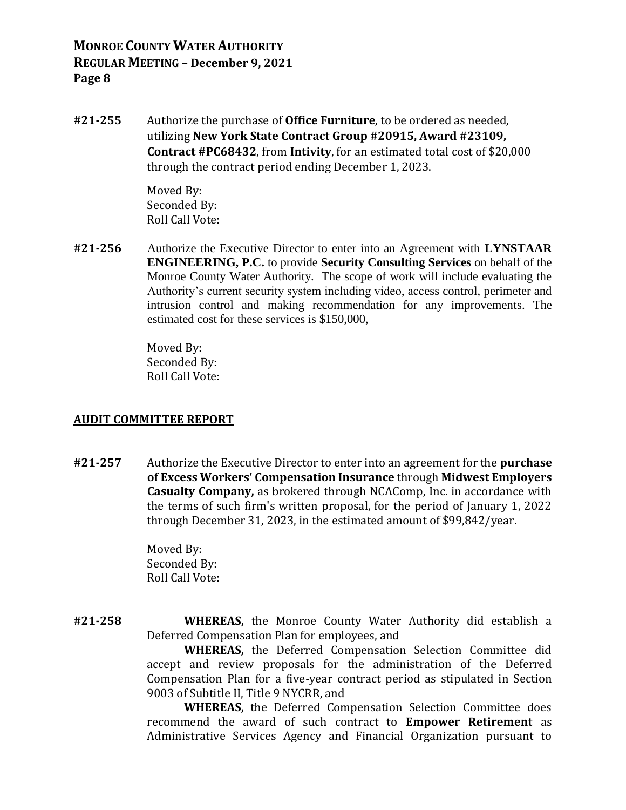**#21-255** Authorize the purchase of **Office Furniture**, to be ordered as needed, utilizing **New York State Contract Group #20915, Award #23109, Contract #PC68432**, from **Intivity**, for an estimated total cost of \$20,000 through the contract period ending December 1, 2023.

> Moved By: Seconded By: Roll Call Vote:

**#21-256** Authorize the Executive Director to enter into an Agreement with **LYNSTAAR ENGINEERING, P.C.** to provide **Security Consulting Services** on behalf of the Monroe County Water Authority. The scope of work will include evaluating the Authority's current security system including video, access control, perimeter and intrusion control and making recommendation for any improvements. The estimated cost for these services is \$150,000,

> Moved By: Seconded By: Roll Call Vote:

### **AUDIT COMMITTEE REPORT**

**#21-257** Authorize the Executive Director to enter into an agreement for the **purchase of Excess Workers' Compensation Insurance** through **Midwest Employers Casualty Company,** as brokered through NCAComp, Inc. in accordance with the terms of such firm's written proposal, for the period of January 1, 2022 through December 31, 2023, in the estimated amount of \$99,842/year.

> Moved By: Seconded By: Roll Call Vote:

**#21-258 WHEREAS,** the Monroe County Water Authority did establish a Deferred Compensation Plan for employees, and

**WHEREAS,** the Deferred Compensation Selection Committee did accept and review proposals for the administration of the Deferred Compensation Plan for a five-year contract period as stipulated in Section 9003 of Subtitle II, Title 9 NYCRR, and

**WHEREAS,** the Deferred Compensation Selection Committee does recommend the award of such contract to **Empower Retirement** as Administrative Services Agency and Financial Organization pursuant to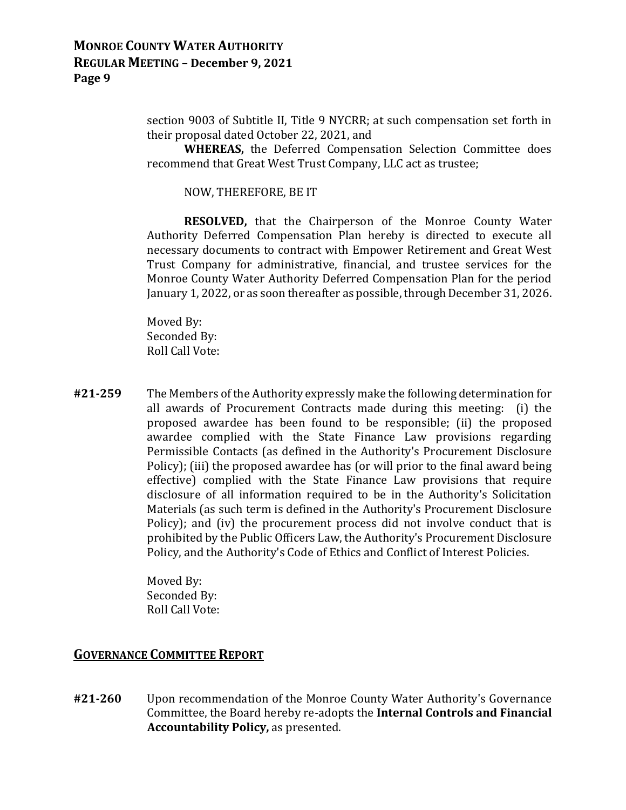section 9003 of Subtitle II, Title 9 NYCRR; at such compensation set forth in their proposal dated October 22, 2021, and

**WHEREAS,** the Deferred Compensation Selection Committee does recommend that Great West Trust Company, LLC act as trustee;

NOW, THEREFORE, BE IT

**RESOLVED,** that the Chairperson of the Monroe County Water Authority Deferred Compensation Plan hereby is directed to execute all necessary documents to contract with Empower Retirement and Great West Trust Company for administrative, financial, and trustee services for the Monroe County Water Authority Deferred Compensation Plan for the period January 1, 2022, or as soon thereafter as possible, through December 31, 2026.

Moved By: Seconded By: Roll Call Vote:

**#21-259** The Members of the Authority expressly make the following determination for all awards of Procurement Contracts made during this meeting: (i) the proposed awardee has been found to be responsible; (ii) the proposed awardee complied with the State Finance Law provisions regarding Permissible Contacts (as defined in the Authority's Procurement Disclosure Policy); (iii) the proposed awardee has (or will prior to the final award being effective) complied with the State Finance Law provisions that require disclosure of all information required to be in the Authority's Solicitation Materials (as such term is defined in the Authority's Procurement Disclosure Policy); and (iv) the procurement process did not involve conduct that is prohibited by the Public Officers Law, the Authority's Procurement Disclosure Policy, and the Authority's Code of Ethics and Conflict of Interest Policies.

> Moved By: Seconded By: Roll Call Vote:

# **GOVERNANCE COMMITTEE REPORT**

**#21-260** Upon recommendation of the Monroe County Water Authority's Governance Committee, the Board hereby re-adopts the **Internal Controls and Financial Accountability Policy,** as presented.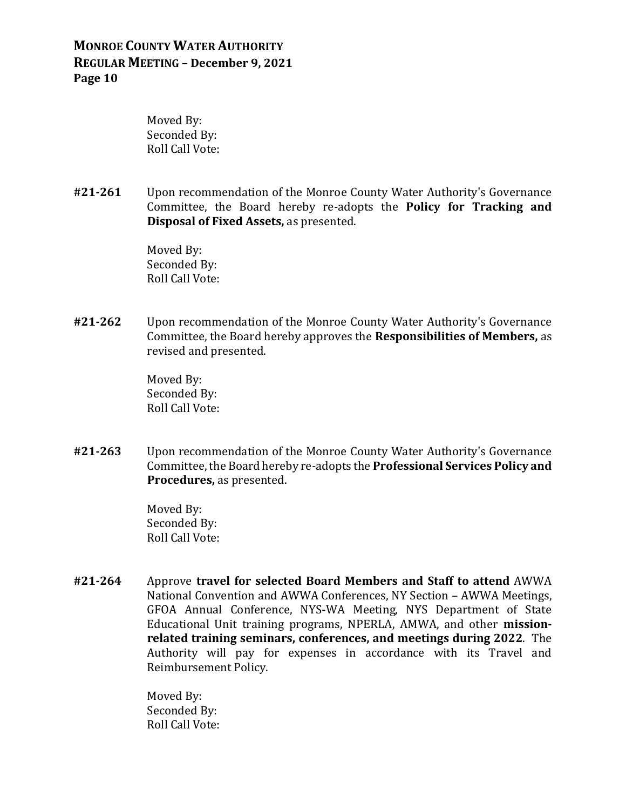Moved By: Seconded By: Roll Call Vote:

**#21-261** Upon recommendation of the Monroe County Water Authority's Governance Committee, the Board hereby re-adopts the **Policy for Tracking and Disposal of Fixed Assets,** as presented.

> Moved By: Seconded By: Roll Call Vote:

**#21-262** Upon recommendation of the Monroe County Water Authority's Governance Committee, the Board hereby approves the **Responsibilities of Members,** as revised and presented.

> Moved By: Seconded By: Roll Call Vote:

**#21-263** Upon recommendation of the Monroe County Water Authority's Governance Committee, the Board hereby re-adopts the **Professional Services Policy and Procedures,** as presented.

> Moved By: Seconded By: Roll Call Vote:

**#21-264** Approve **travel for selected Board Members and Staff to attend** AWWA National Convention and AWWA Conferences, NY Section – AWWA Meetings, GFOA Annual Conference, NYS-WA Meeting, NYS Department of State Educational Unit training programs, NPERLA, AMWA, and other **missionrelated training seminars, conferences, and meetings during 2022**. The Authority will pay for expenses in accordance with its Travel and Reimbursement Policy.